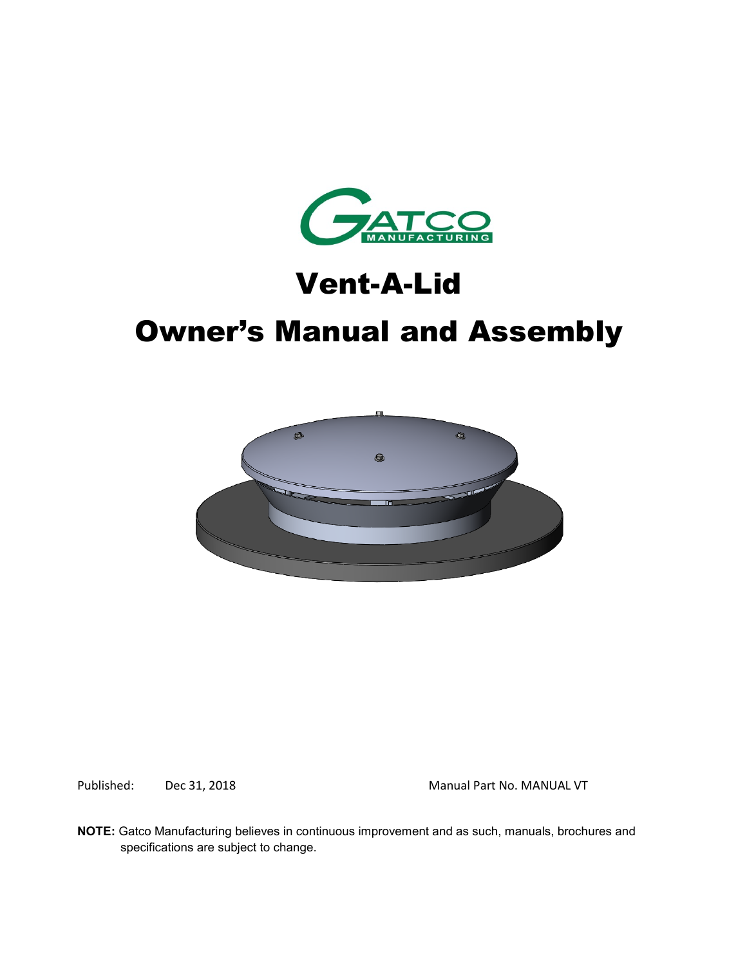

# Vent-A-Lid

# Owner's Manual and Assembly



Published: Dec 31, 2018 Manual Part No. MANUAL VT

**NOTE:** Gatco Manufacturing believes in continuous improvement and as such, manuals, brochures and specifications are subject to change.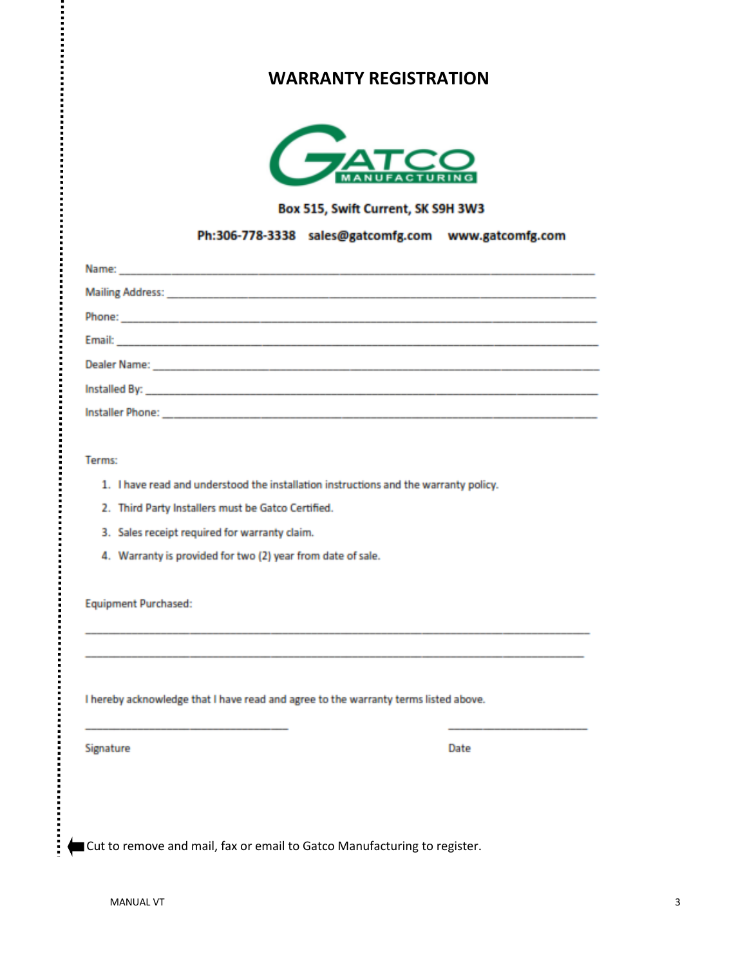### **WARRANTY REGISTRATION**



Box 515, Swift Current, SK S9H 3W3

#### Ph:306-778-3338 sales@gatcomfg.com www.gatcomfg.com

| Installed By: North Commission Commission Commission Commission Commission Commission                                                                                                                                          |
|--------------------------------------------------------------------------------------------------------------------------------------------------------------------------------------------------------------------------------|
| Installer Phone: New York: New York: New York: New York: New York: New York: New York: New York: New York: New York: New York: New York: New York: New York: New York: New York: New York: New York: New York: New York: New Y |

Terms:

:<br>:<br>:<br>:

- 1. I have read and understood the installation instructions and the warranty policy.
- 2. Third Party Installers must be Gatco Certified.
- 3. Sales receipt required for warranty claim.
- 4. Warranty is provided for two (2) year from date of sale.

**Equipment Purchased:** 

I hereby acknowledge that I have read and agree to the warranty terms listed above.

Signature

Date

Cut to remove and mail, fax or email to Gatco Manufacturing to register.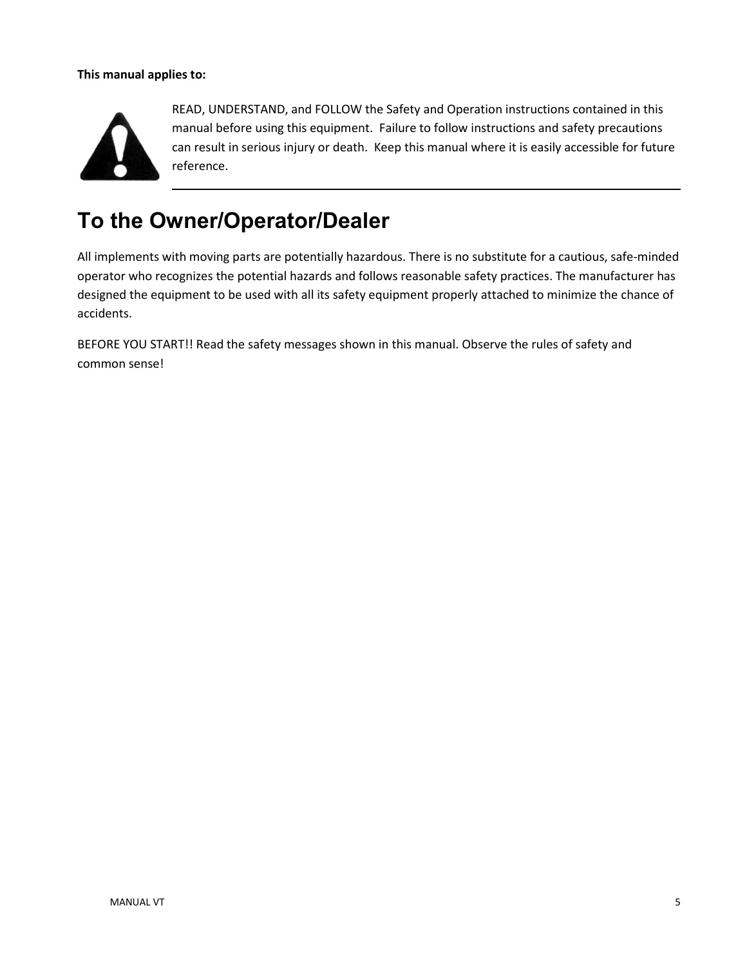#### **This manual applies to:**



READ, UNDERSTAND, and FOLLOW the Safety and Operation instructions contained in this manual before using this equipment. Failure to follow instructions and safety precautions can result in serious injury or death. Keep this manual where it is easily accessible for future reference.

## **To the Owner/Operator/Dealer**

All implements with moving parts are potentially hazardous. There is no substitute for a cautious, safe-minded operator who recognizes the potential hazards and follows reasonable safety practices. The manufacturer has designed the equipment to be used with all its safety equipment properly attached to minimize the chance of accidents.

BEFORE YOU START!! Read the safety messages shown in this manual. Observe the rules of safety and common sense!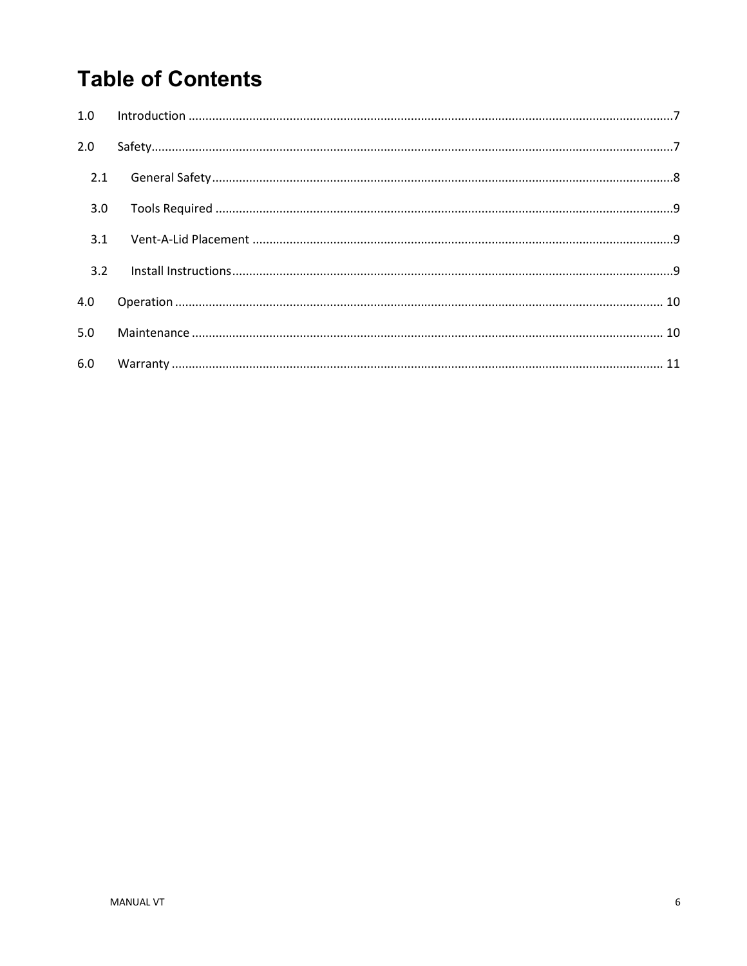## **Table of Contents**

| 2.0 |  |
|-----|--|
| 2.1 |  |
| 3.0 |  |
| 3.1 |  |
| 3.2 |  |
| 4.0 |  |
| 5.0 |  |
| 6.0 |  |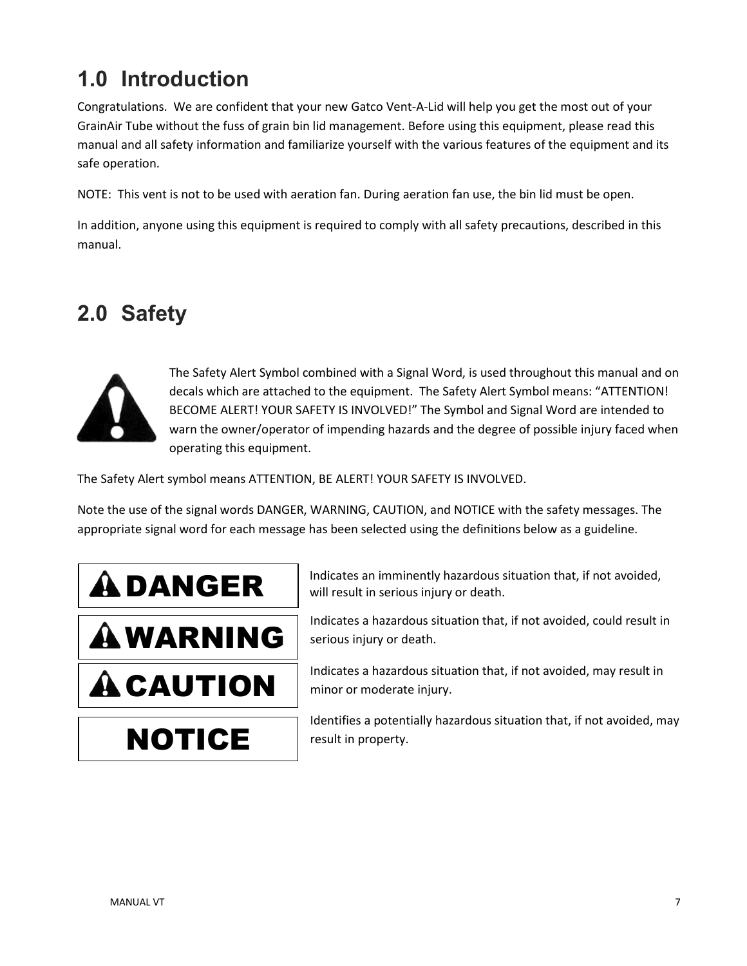## <span id="page-6-0"></span>**1.0 Introduction**

Congratulations. We are confident that your new Gatco Vent-A-Lid will help you get the most out of your GrainAir Tube without the fuss of grain bin lid management. Before using this equipment, please read this manual and all safety information and familiarize yourself with the various features of the equipment and its safe operation.

NOTE: This vent is not to be used with aeration fan. During aeration fan use, the bin lid must be open.

In addition, anyone using this equipment is required to comply with all safety precautions, described in this manual.

## <span id="page-6-1"></span>**2.0 Safety**



The Safety Alert Symbol combined with a Signal Word, is used throughout this manual and on decals which are attached to the equipment. The Safety Alert Symbol means: "ATTENTION! BECOME ALERT! YOUR SAFETY IS INVOLVED!" The Symbol and Signal Word are intended to warn the owner/operator of impending hazards and the degree of possible injury faced when operating this equipment.

The Safety Alert symbol means ATTENTION, BE ALERT! YOUR SAFETY IS INVOLVED.

Note the use of the signal words DANGER, WARNING, CAUTION, and NOTICE with the safety messages. The appropriate signal word for each message has been selected using the definitions below as a guideline.



WARNING

**A CAUTION** 

NOTICE

Indicates an imminently hazardous situation that, if not avoided, will result in serious injury or death.

Indicates a hazardous situation that, if not avoided, could result in serious injury or death.

Indicates a hazardous situation that, if not avoided, may result in minor or moderate injury.

Identifies a potentially hazardous situation that, if not avoided, may result in property.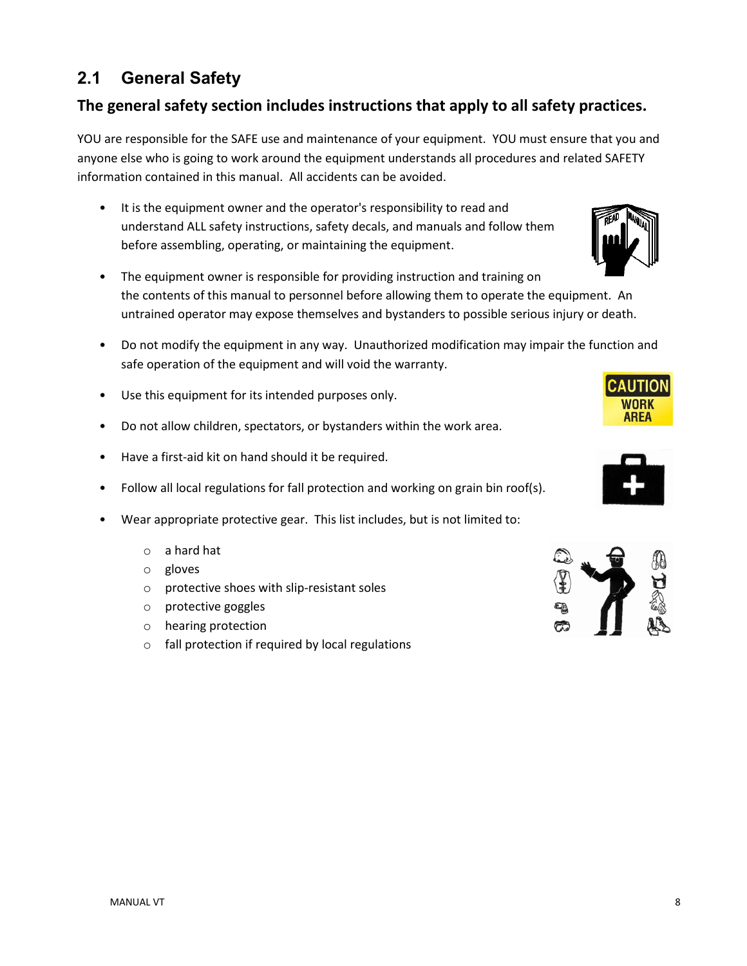### <span id="page-7-0"></span>**2.1 General Safety**

#### **The general safety section includes instructions that apply to all safety practices.**

YOU are responsible for the SAFE use and maintenance of your equipment. YOU must ensure that you and anyone else who is going to work around the equipment understands all procedures and related SAFETY information contained in this manual. All accidents can be avoided.

- It is the equipment owner and the operator's responsibility to read and understand ALL safety instructions, safety decals, and manuals and follow them before assembling, operating, or maintaining the equipment.
- The equipment owner is responsible for providing instruction and training on the contents of this manual to personnel before allowing them to operate the equipment. An untrained operator may expose themselves and bystanders to possible serious injury or death.
- Do not modify the equipment in any way. Unauthorized modification may impair the function and safe operation of the equipment and will void the warranty.
- Use this equipment for its intended purposes only.
- Do not allow children, spectators, or bystanders within the work area.
- Have a first-aid kit on hand should it be required.
- Follow all local regulations for fall protection and working on grain bin roof(s).
- Wear appropriate protective gear. This list includes, but is not limited to:
	- o a hard hat
	- o gloves
	- o protective shoes with slip-resistant soles
	- o protective goggles
	- o hearing protection
	- o fall protection if required by local regulations





WORK AREA

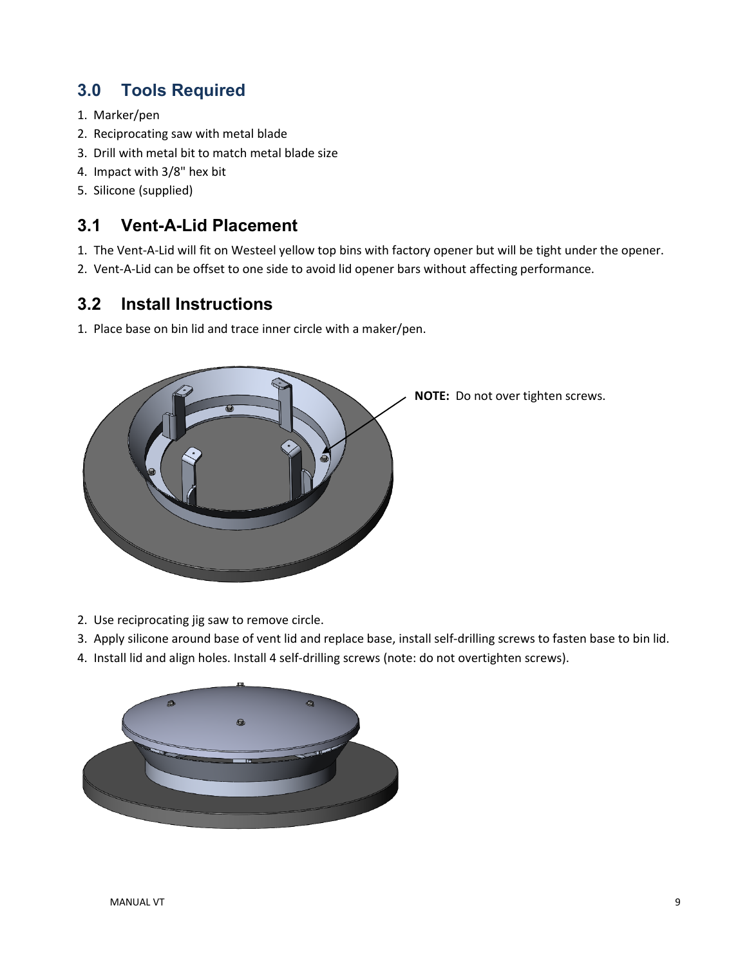### <span id="page-8-0"></span>**3.0 Tools Required**

- 1. Marker/pen
- 2. Reciprocating saw with metal blade
- 3. Drill with metal bit to match metal blade size
- 4. Impact with 3/8" hex bit
- 5. Silicone (supplied)

### <span id="page-8-1"></span>**3.1 Vent-A-Lid Placement**

- 1. The Vent-A-Lid will fit on Westeel yellow top bins with factory opener but will be tight under the opener.
- 2. Vent-A-Lid can be offset to one side to avoid lid opener bars without affecting performance.

### <span id="page-8-2"></span>**3.2 Install Instructions**

1. Place base on bin lid and trace inner circle with a maker/pen.



- 2. Use reciprocating jig saw to remove circle.
- 3. Apply silicone around base of vent lid and replace base, install self-drilling screws to fasten base to bin lid.
- 4. Install lid and align holes. Install 4 self-drilling screws (note: do not overtighten screws).

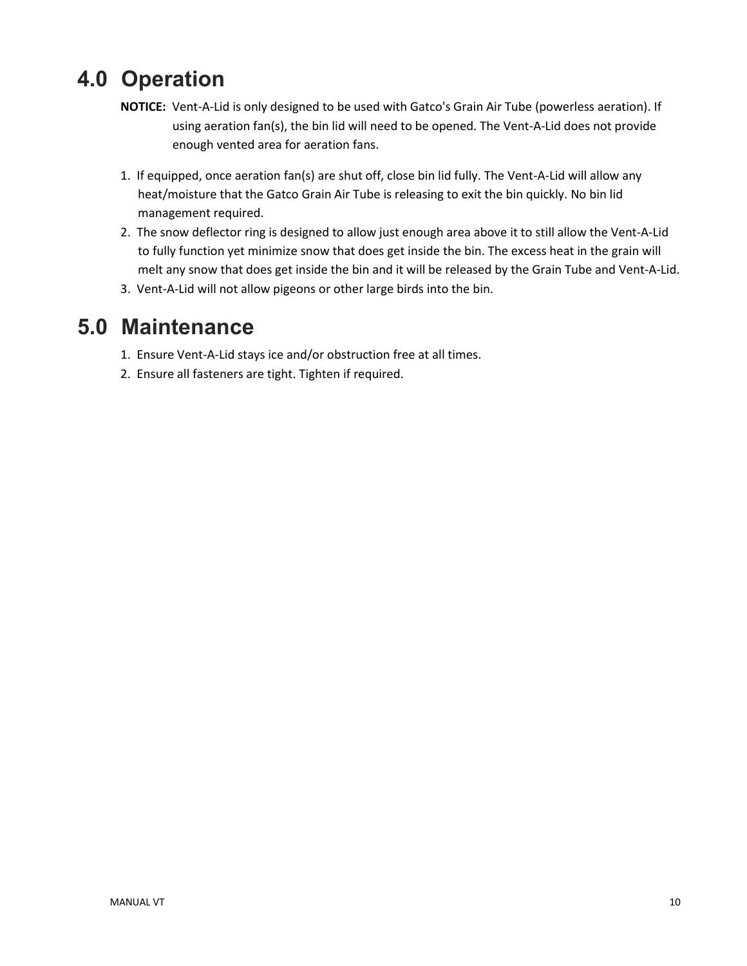## <span id="page-9-0"></span>**4.0 Operation**

- **NOTICE:** Vent-A-Lid is only designed to be used with Gatco's Grain Air Tube (powerless aeration). If using aeration fan(s), the bin lid will need to be opened. The Vent-A-Lid does not provide enough vented area for aeration fans.
- 1. If equipped, once aeration fan(s) are shut off, close bin lid fully. The Vent-A-Lid will allow any heat/moisture that the Gatco Grain Air Tube is releasing to exit the bin quickly. No bin lid management required.
- 2. The snow deflector ring is designed to allow just enough area above it to still allow the Vent-A-Lid to fully function yet minimize snow that does get inside the bin. The excess heat in the grain will melt any snow that does get inside the bin and it will be released by the Grain Tube and Vent-A-Lid.
- 3. Vent-A-Lid will not allow pigeons or other large birds into the bin.

## <span id="page-9-1"></span>**5.0 Maintenance**

- 1. Ensure Vent-A-Lid stays ice and/or obstruction free at all times.
- 2. Ensure all fasteners are tight. Tighten if required.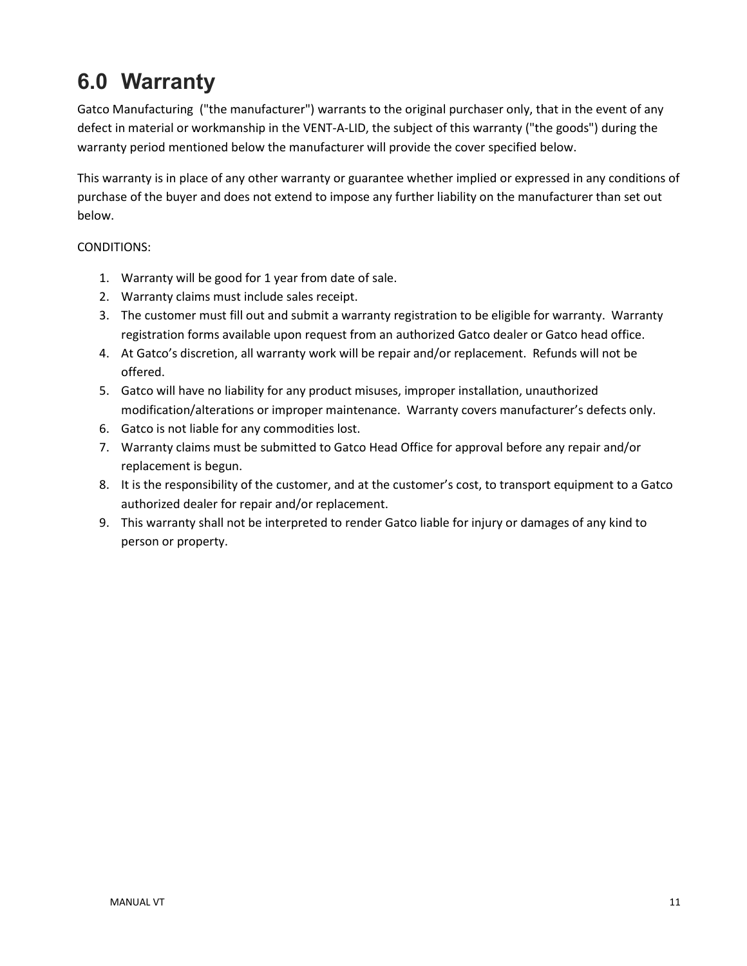## <span id="page-10-0"></span>**6.0 Warranty**

Gatco Manufacturing ("the manufacturer") warrants to the original purchaser only, that in the event of any defect in material or workmanship in the VENT-A-LID, the subject of this warranty ("the goods") during the warranty period mentioned below the manufacturer will provide the cover specified below.

This warranty is in place of any other warranty or guarantee whether implied or expressed in any conditions of purchase of the buyer and does not extend to impose any further liability on the manufacturer than set out below.

#### CONDITIONS:

- 1. Warranty will be good for 1 year from date of sale.
- 2. Warranty claims must include sales receipt.
- 3. The customer must fill out and submit a warranty registration to be eligible for warranty. Warranty registration forms available upon request from an authorized Gatco dealer or Gatco head office.
- 4. At Gatco's discretion, all warranty work will be repair and/or replacement. Refunds will not be offered.
- 5. Gatco will have no liability for any product misuses, improper installation, unauthorized modification/alterations or improper maintenance. Warranty covers manufacturer's defects only.
- 6. Gatco is not liable for any commodities lost.
- 7. Warranty claims must be submitted to Gatco Head Office for approval before any repair and/or replacement is begun.
- 8. It is the responsibility of the customer, and at the customer's cost, to transport equipment to a Gatco authorized dealer for repair and/or replacement.
- 9. This warranty shall not be interpreted to render Gatco liable for injury or damages of any kind to person or property.